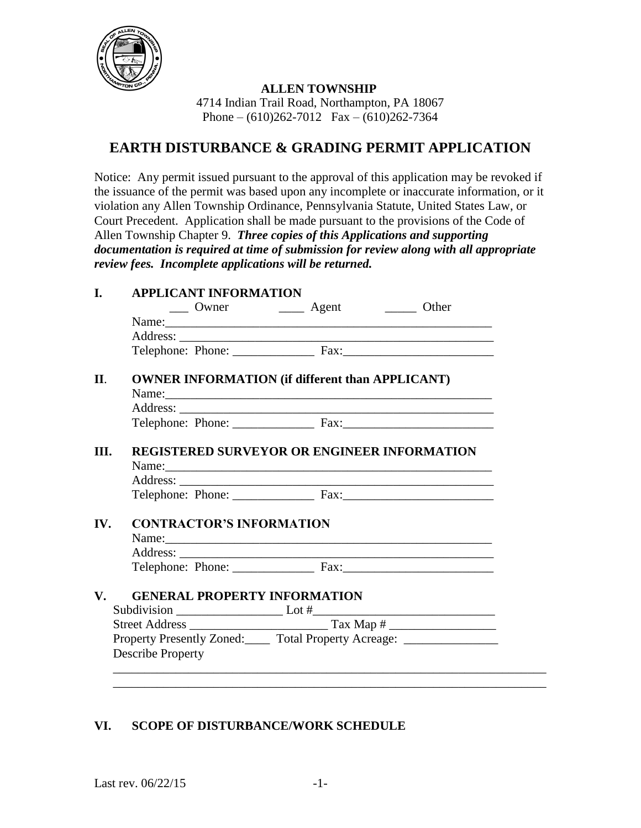

## **ALLEN TOWNSHIP**

4714 Indian Trail Road, Northampton, PA 18067 Phone –  $(610)262 - 7012$  Fax –  $(610)262 - 7364$ 

## **EARTH DISTURBANCE & GRADING PERMIT APPLICATION**

Notice: Any permit issued pursuant to the approval of this application may be revoked if the issuance of the permit was based upon any incomplete or inaccurate information, or it violation any Allen Township Ordinance, Pennsylvania Statute, United States Law, or Court Precedent. Application shall be made pursuant to the provisions of the Code of Allen Township Chapter 9. *Three copies of this Applications and supporting documentation is required at time of submission for review along with all appropriate review fees. Incomplete applications will be returned.*

| I.          | <b>APPLICANT INFORMATION</b>                                                                           |                                        |  |  |  |  |  |
|-------------|--------------------------------------------------------------------------------------------------------|----------------------------------------|--|--|--|--|--|
|             |                                                                                                        | ____ Owner _______ Agent _______ Other |  |  |  |  |  |
|             |                                                                                                        |                                        |  |  |  |  |  |
|             |                                                                                                        |                                        |  |  |  |  |  |
|             |                                                                                                        |                                        |  |  |  |  |  |
| $\Pi$ .     | <b>OWNER INFORMATION (if different than APPLICANT)</b>                                                 |                                        |  |  |  |  |  |
|             | Name:                                                                                                  |                                        |  |  |  |  |  |
|             |                                                                                                        |                                        |  |  |  |  |  |
|             |                                                                                                        |                                        |  |  |  |  |  |
|             |                                                                                                        |                                        |  |  |  |  |  |
| III.        | <b>REGISTERED SURVEYOR OR ENGINEER INFORMATION</b>                                                     |                                        |  |  |  |  |  |
|             |                                                                                                        |                                        |  |  |  |  |  |
|             |                                                                                                        |                                        |  |  |  |  |  |
|             |                                                                                                        |                                        |  |  |  |  |  |
|             |                                                                                                        |                                        |  |  |  |  |  |
| IV.         | <b>CONTRACTOR'S INFORMATION</b>                                                                        |                                        |  |  |  |  |  |
|             |                                                                                                        |                                        |  |  |  |  |  |
|             |                                                                                                        |                                        |  |  |  |  |  |
|             |                                                                                                        |                                        |  |  |  |  |  |
| $V_{\cdot}$ | <b>GENERAL PROPERTY INFORMATION</b>                                                                    |                                        |  |  |  |  |  |
|             | Subdivision $\_\_\_\_\_\_\_\_\_\$ Lot # $\_\_\_\_\_\_\_\_\_\_\_\_\_\_\_\_\_\_\_\_\_\_\_\_\_\_\_\_\_\_$ |                                        |  |  |  |  |  |
|             |                                                                                                        |                                        |  |  |  |  |  |
|             | Property Presently Zoned: Total Property Acreage: _______________________________                      |                                        |  |  |  |  |  |
|             | <b>Describe Property</b>                                                                               |                                        |  |  |  |  |  |
|             |                                                                                                        |                                        |  |  |  |  |  |

## **VI. SCOPE OF DISTURBANCE/WORK SCHEDULE**